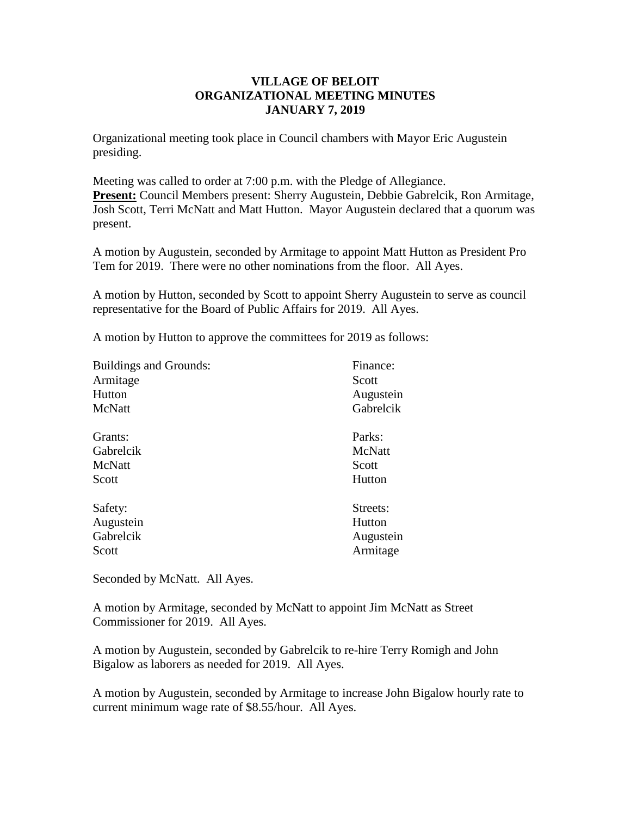## **VILLAGE OF BELOIT ORGANIZATIONAL MEETING MINUTES JANUARY 7, 2019**

Organizational meeting took place in Council chambers with Mayor Eric Augustein presiding.

Meeting was called to order at 7:00 p.m. with the Pledge of Allegiance. **Present:** Council Members present: Sherry Augustein, Debbie Gabrelcik, Ron Armitage, Josh Scott, Terri McNatt and Matt Hutton. Mayor Augustein declared that a quorum was present.

A motion by Augustein, seconded by Armitage to appoint Matt Hutton as President Pro Tem for 2019. There were no other nominations from the floor. All Ayes.

A motion by Hutton, seconded by Scott to appoint Sherry Augustein to serve as council representative for the Board of Public Affairs for 2019. All Ayes.

A motion by Hutton to approve the committees for 2019 as follows:

| <b>Buildings and Grounds:</b> | Finance:  |
|-------------------------------|-----------|
| Armitage                      | Scott     |
| Hutton                        | Augustein |
| McNatt                        | Gabrelcik |
| Grants:                       | Parks:    |
| Gabrelcik                     | McNatt    |
| McNatt                        | Scott     |
| Scott                         | Hutton    |
| Safety:                       | Streets:  |
| Augustein                     | Hutton    |
| Gabrelcik                     | Augustein |
| Scott                         | Armitage  |

Seconded by McNatt. All Ayes.

A motion by Armitage, seconded by McNatt to appoint Jim McNatt as Street Commissioner for 2019. All Ayes.

A motion by Augustein, seconded by Gabrelcik to re-hire Terry Romigh and John Bigalow as laborers as needed for 2019. All Ayes.

A motion by Augustein, seconded by Armitage to increase John Bigalow hourly rate to current minimum wage rate of \$8.55/hour. All Ayes.